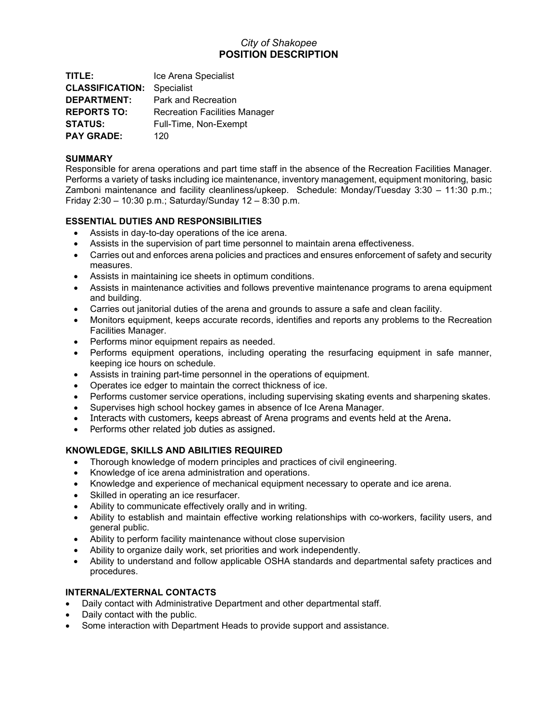# *City of Shakopee* **POSITION DESCRIPTION**

**TITLE:** Ice Arena Specialist **CLASSIFICATION:** Specialist **DEPARTMENT:** Park and Recreation **REPORTS TO:** Recreation Facilities Manager **STATUS:** Full-Time, Non-Exempt **PAY GRADE:** 120

### **SUMMARY**

Responsible for arena operations and part time staff in the absence of the Recreation Facilities Manager. Performs a variety of tasks including ice maintenance, inventory management, equipment monitoring, basic Zamboni maintenance and facility cleanliness/upkeep. Schedule: Monday/Tuesday 3:30 – 11:30 p.m.; Friday 2:30 – 10:30 p.m.; Saturday/Sunday 12 – 8:30 p.m.

## **ESSENTIAL DUTIES AND RESPONSIBILITIES**

- Assists in day-to-day operations of the ice arena.
- Assists in the supervision of part time personnel to maintain arena effectiveness.
- Carries out and enforces arena policies and practices and ensures enforcement of safety and security measures.
- Assists in maintaining ice sheets in optimum conditions.
- Assists in maintenance activities and follows preventive maintenance programs to arena equipment and building.
- Carries out janitorial duties of the arena and grounds to assure a safe and clean facility.
- Monitors equipment, keeps accurate records, identifies and reports any problems to the Recreation Facilities Manager.
- Performs minor equipment repairs as needed.
- Performs equipment operations, including operating the resurfacing equipment in safe manner, keeping ice hours on schedule.
- Assists in training part-time personnel in the operations of equipment.
- Operates ice edger to maintain the correct thickness of ice.
- Performs customer service operations, including supervising skating events and sharpening skates.
- Supervises high school hockey games in absence of Ice Arena Manager.
- Interacts with customers, keeps abreast of Arena programs and events held at the Arena.
- Performs other related job duties as assigned.

## **KNOWLEDGE, SKILLS AND ABILITIES REQUIRED**

- Thorough knowledge of modern principles and practices of civil engineering.
- Knowledge of ice arena administration and operations.
- Knowledge and experience of mechanical equipment necessary to operate and ice arena.
- Skilled in operating an ice resurfacer.
- Ability to communicate effectively orally and in writing.
- Ability to establish and maintain effective working relationships with co-workers, facility users, and general public.
- Ability to perform facility maintenance without close supervision
- Ability to organize daily work, set priorities and work independently.
- Ability to understand and follow applicable OSHA standards and departmental safety practices and procedures.

## **INTERNAL/EXTERNAL CONTACTS**

- Daily contact with Administrative Department and other departmental staff.
- Daily contact with the public.
- Some interaction with Department Heads to provide support and assistance.